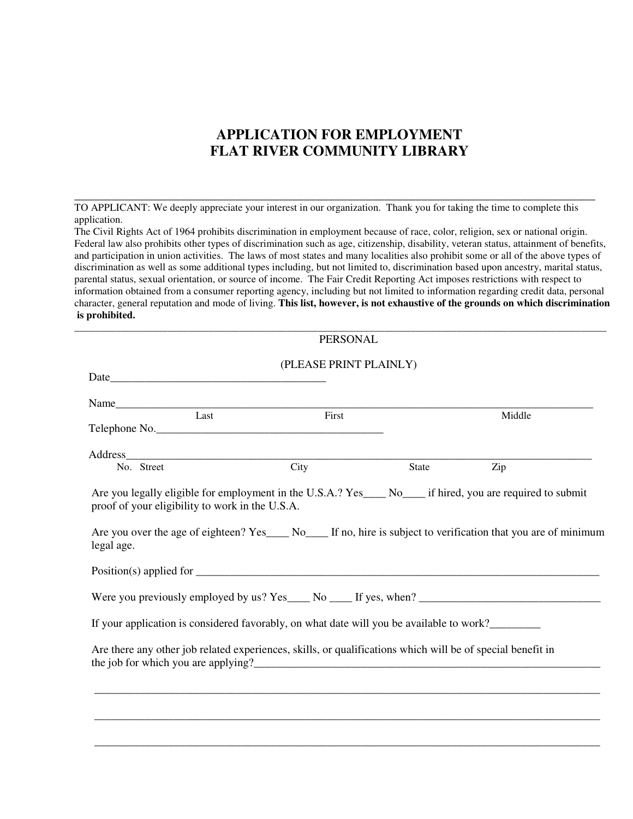# **APPLICATION FOR EMPLOYMENT FLAT RIVER COMMUNITY LIBRARY**

TO APPLICANT: We deeply appreciate your interest in our organization. Thank you for taking the time to complete this application.

**\_\_\_\_\_\_\_\_\_\_\_\_\_\_\_\_\_\_\_\_\_\_\_\_\_\_\_\_\_\_\_\_\_\_\_\_\_\_\_\_\_\_\_\_\_\_\_\_\_\_\_\_\_\_\_\_\_\_\_\_\_\_\_\_\_\_\_\_\_\_\_\_\_\_\_\_\_\_\_\_\_\_\_\_** 

The Civil Rights Act of 1964 prohibits discrimination in employment because of race, color, religion, sex or national origin. Federal law also prohibits other types of discrimination such as age, citizenship, disability, veteran status, attainment of benefits, and participation in union activities. The laws of most states and many localities also prohibit some or all of the above types of discrimination as well as some additional types including, but not limited to, discrimination based upon ancestry, marital status, parental status, sexual orientation, or source of income. The Fair Credit Reporting Act imposes restrictions with respect to information obtained from a consumer reporting agency, including but not limited to information regarding credit data, personal character, general reputation and mode of living. **This list, however, is not exhaustive of the grounds on which discrimination is prohibited.** 

**\_\_\_\_\_\_\_\_\_\_\_\_\_\_\_\_\_\_\_\_\_\_\_\_\_\_\_\_\_\_\_\_\_\_\_\_\_\_\_\_\_\_\_\_\_\_\_\_\_\_\_\_\_\_\_\_\_\_\_\_\_\_\_\_\_\_\_\_\_\_\_\_\_\_\_\_\_\_\_\_\_\_\_\_\_\_\_\_\_\_\_\_\_\_\_\_\_\_\_\_\_\_\_** 

|                                                 | <b>PERSONAL</b>                                                                                                 |       |        |
|-------------------------------------------------|-----------------------------------------------------------------------------------------------------------------|-------|--------|
|                                                 | (PLEASE PRINT PLAINLY)                                                                                          |       |        |
|                                                 | Telephone No.                                                                                                   |       | Middle |
| No. Street                                      | $\overline{City}$                                                                                               | State | Zip    |
| proof of your eligibility to work in the U.S.A. | Are you legally eligible for employment in the U.S.A.? Yes____ No____ if hired, you are required to submit      |       |        |
| legal age.                                      | Are you over the age of eighteen? Yes____ No____ If no, hire is subject to verification that you are of minimum |       |        |
|                                                 |                                                                                                                 |       |        |
|                                                 |                                                                                                                 |       |        |
|                                                 | If your application is considered favorably, on what date will you be available to work?                        |       |        |
|                                                 | Are there any other job related experiences, skills, or qualifications which will be of special benefit in      |       |        |
|                                                 |                                                                                                                 |       |        |
|                                                 |                                                                                                                 |       |        |
|                                                 |                                                                                                                 |       |        |
|                                                 |                                                                                                                 |       |        |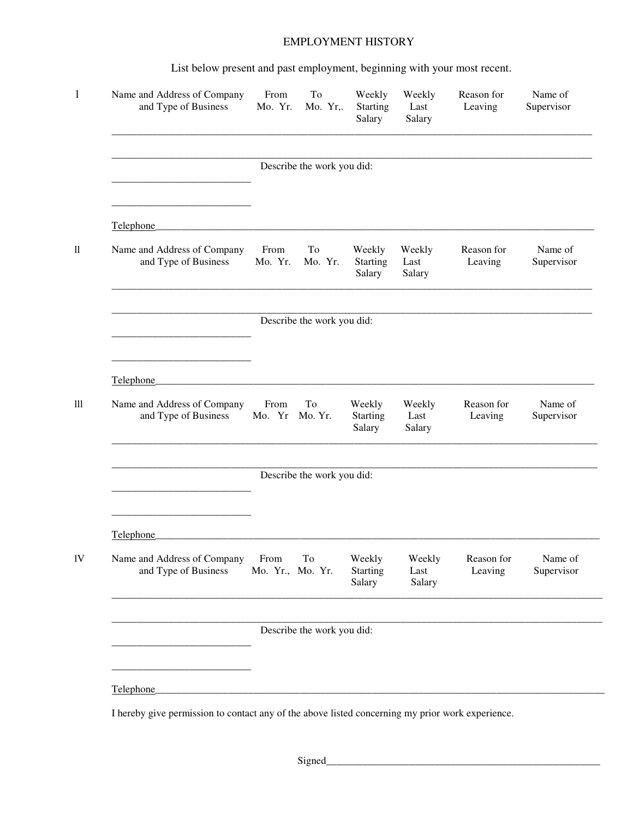## EMPLOYMENT HISTORY

List below present and past employment, beginning with your most recent.

| Name and Address of Company<br>and Type of Business                                                           | From<br>Mo. Yr.          | To<br>Mo. Yr,.             | Weekly<br>Starting<br>Salary        | Weekly<br>Last<br>Salary | Reason for<br>Leaving | Name of<br>Supervisor |
|---------------------------------------------------------------------------------------------------------------|--------------------------|----------------------------|-------------------------------------|--------------------------|-----------------------|-----------------------|
|                                                                                                               |                          | Describe the work you did: |                                     |                          |                       |                       |
| Telephone                                                                                                     |                          |                            |                                     |                          |                       |                       |
| Name and Address of Company<br>and Type of Business                                                           | From<br>Mo. Yr.          | To<br>Mo. Yr.              | Weekly<br>Starting<br>Salary        | Weekly<br>Last<br>Salary | Reason for<br>Leaving | Name of<br>Supervisor |
|                                                                                                               |                          | Describe the work you did: |                                     |                          |                       |                       |
| Telephone                                                                                                     |                          |                            |                                     |                          |                       |                       |
| Name and Address of Company<br>and Type of Business                                                           | From<br>Mo. Yr Mo. Yr.   | To                         | Weekly<br>Starting<br>Salary        | Weekly<br>Last<br>Salary | Reason for<br>Leaving | Name of<br>Supervisor |
|                                                                                                               |                          | Describe the work you did: |                                     |                          |                       |                       |
| Telephone                                                                                                     |                          |                            |                                     |                          |                       |                       |
| Name and Address of Company<br>and Type of Business                                                           | From<br>Mo. Yr., Mo. Yr. | To                         | Weekly<br><b>Starting</b><br>Salary | Weekly<br>Last<br>Salary | Reason for<br>Leaving | Name of<br>Supervisor |
|                                                                                                               |                          | Describe the work you did: |                                     |                          |                       |                       |
|                                                                                                               |                          |                            |                                     |                          |                       |                       |
| Telephone<br>I hereby give permission to contact any of the above listed concerning my prior work experience. |                          |                            |                                     |                          |                       |                       |